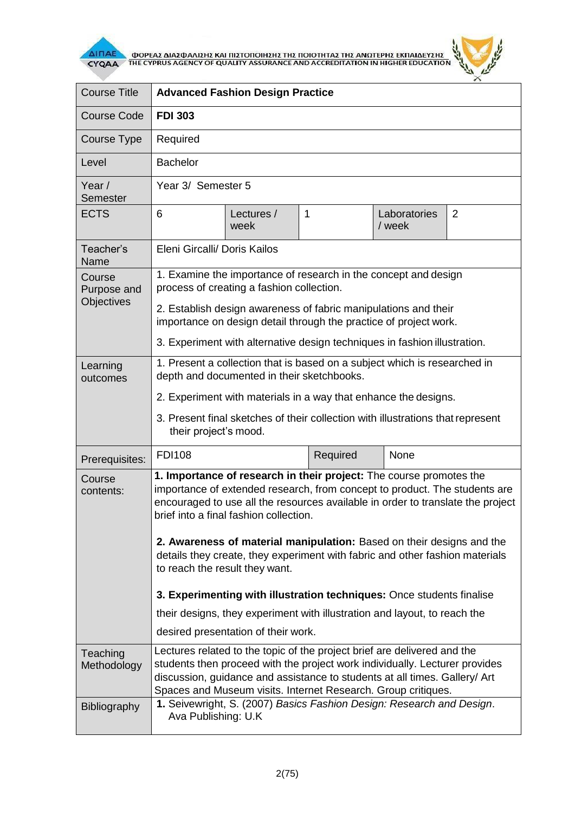

**AITIAE A OOPEAE AIAE DANIEHE KAI TIIETOTOIHEHE THE TOIOTHTAE THE ANOTEPHE EKTIAIAEYEHE** 



| <b>Course Title</b>                 | <b>Advanced Fashion Design Practice</b>                                                                                                                                                                                                                                                                                                                                                                                                                                   |                    |          |                        |                |  |
|-------------------------------------|---------------------------------------------------------------------------------------------------------------------------------------------------------------------------------------------------------------------------------------------------------------------------------------------------------------------------------------------------------------------------------------------------------------------------------------------------------------------------|--------------------|----------|------------------------|----------------|--|
| <b>Course Code</b>                  | <b>FDI 303</b>                                                                                                                                                                                                                                                                                                                                                                                                                                                            |                    |          |                        |                |  |
| Course Type                         | Required                                                                                                                                                                                                                                                                                                                                                                                                                                                                  |                    |          |                        |                |  |
| Level                               | <b>Bachelor</b>                                                                                                                                                                                                                                                                                                                                                                                                                                                           |                    |          |                        |                |  |
| Year/<br>Semester                   | Year 3/ Semester 5                                                                                                                                                                                                                                                                                                                                                                                                                                                        |                    |          |                        |                |  |
| <b>ECTS</b>                         | 6                                                                                                                                                                                                                                                                                                                                                                                                                                                                         | Lectures /<br>week | 1        | Laboratories<br>/ week | $\overline{2}$ |  |
| Teacher's<br>Name                   | Eleni Gircalli/ Doris Kailos                                                                                                                                                                                                                                                                                                                                                                                                                                              |                    |          |                        |                |  |
| Course<br>Purpose and<br>Objectives | 1. Examine the importance of research in the concept and design<br>process of creating a fashion collection.                                                                                                                                                                                                                                                                                                                                                              |                    |          |                        |                |  |
|                                     | 2. Establish design awareness of fabric manipulations and their<br>importance on design detail through the practice of project work.                                                                                                                                                                                                                                                                                                                                      |                    |          |                        |                |  |
|                                     | 3. Experiment with alternative design techniques in fashion illustration.                                                                                                                                                                                                                                                                                                                                                                                                 |                    |          |                        |                |  |
| Learning<br>outcomes                | 1. Present a collection that is based on a subject which is researched in<br>depth and documented in their sketchbooks.                                                                                                                                                                                                                                                                                                                                                   |                    |          |                        |                |  |
|                                     | 2. Experiment with materials in a way that enhance the designs.                                                                                                                                                                                                                                                                                                                                                                                                           |                    |          |                        |                |  |
|                                     | 3. Present final sketches of their collection with illustrations that represent<br>their project's mood.                                                                                                                                                                                                                                                                                                                                                                  |                    |          |                        |                |  |
| Prerequisites:                      | <b>FDI108</b>                                                                                                                                                                                                                                                                                                                                                                                                                                                             |                    | Required | None                   |                |  |
| Course<br>contents:                 | 1. Importance of research in their project: The course promotes the<br>importance of extended research, from concept to product. The students are<br>encouraged to use all the resources available in order to translate the project<br>brief into a final fashion collection.<br>2. Awareness of material manipulation: Based on their designs and the<br>details they create, they experiment with fabric and other fashion materials<br>to reach the result they want. |                    |          |                        |                |  |
|                                     | 3. Experimenting with illustration techniques: Once students finalise                                                                                                                                                                                                                                                                                                                                                                                                     |                    |          |                        |                |  |
|                                     | their designs, they experiment with illustration and layout, to reach the<br>desired presentation of their work.                                                                                                                                                                                                                                                                                                                                                          |                    |          |                        |                |  |
| Teaching<br>Methodology             | Lectures related to the topic of the project brief are delivered and the<br>students then proceed with the project work individually. Lecturer provides<br>discussion, guidance and assistance to students at all times. Gallery/ Art<br>Spaces and Museum visits. Internet Research. Group critiques.<br>1. Seivewright, S. (2007) Basics Fashion Design: Research and Design.                                                                                           |                    |          |                        |                |  |
| <b>Bibliography</b>                 | Ava Publishing: U.K.                                                                                                                                                                                                                                                                                                                                                                                                                                                      |                    |          |                        |                |  |